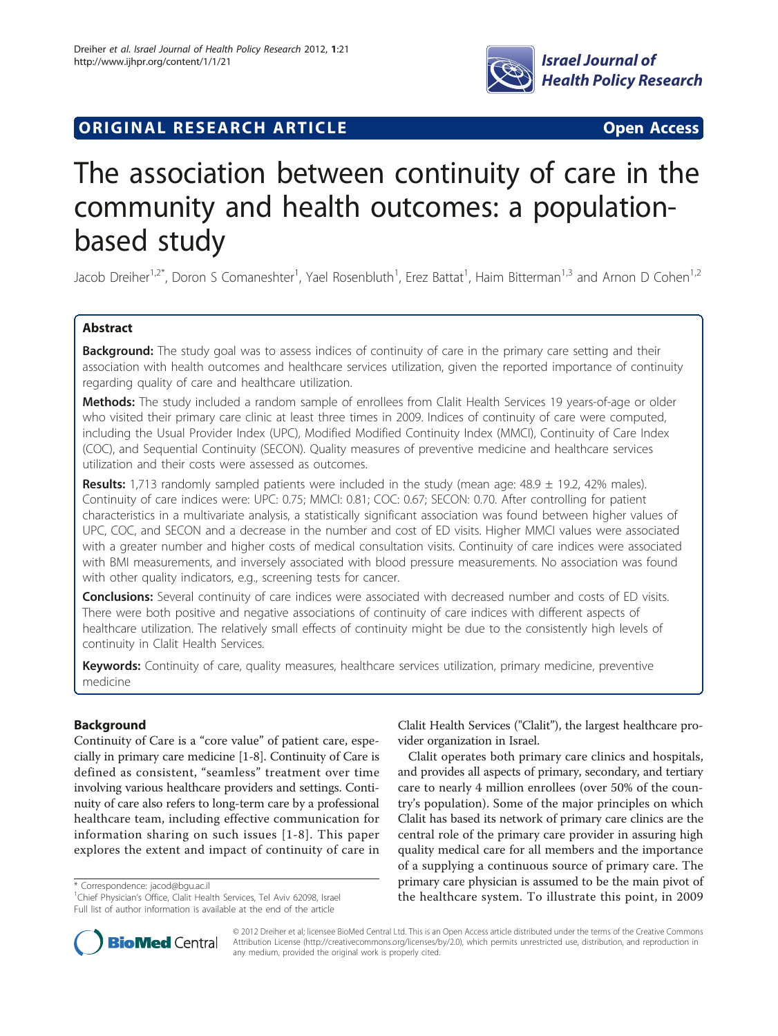

## **ORIGINAL RESEARCH ARTICLE CONSUMING ACCESS**

# The association between continuity of care in the community and health outcomes: a populationbased study

Jacob Dreiher<sup>1,2\*</sup>, Doron S Comaneshter<sup>1</sup>, Yael Rosenbluth<sup>1</sup>, Erez Battat<sup>1</sup>, Haim Bitterman<sup>1,3</sup> and Arnon D Cohen<sup>1,2</sup>

## Abstract

**Background:** The study goal was to assess indices of continuity of care in the primary care setting and their association with health outcomes and healthcare services utilization, given the reported importance of continuity regarding quality of care and healthcare utilization.

Methods: The study included a random sample of enrollees from Clalit Health Services 19 years-of-age or older who visited their primary care clinic at least three times in 2009. Indices of continuity of care were computed, including the Usual Provider Index (UPC), Modified Modified Continuity Index (MMCI), Continuity of Care Index (COC), and Sequential Continuity (SECON). Quality measures of preventive medicine and healthcare services utilization and their costs were assessed as outcomes.

**Results:** 1,713 randomly sampled patients were included in the study (mean age:  $48.9 \pm 19.2$ ,  $42\%$  males). Continuity of care indices were: UPC: 0.75; MMCI: 0.81; COC: 0.67; SECON: 0.70. After controlling for patient characteristics in a multivariate analysis, a statistically significant association was found between higher values of UPC, COC, and SECON and a decrease in the number and cost of ED visits. Higher MMCI values were associated with a greater number and higher costs of medical consultation visits. Continuity of care indices were associated with BMI measurements, and inversely associated with blood pressure measurements. No association was found with other quality indicators, e.g., screening tests for cancer.

**Conclusions:** Several continuity of care indices were associated with decreased number and costs of ED visits. There were both positive and negative associations of continuity of care indices with different aspects of healthcare utilization. The relatively small effects of continuity might be due to the consistently high levels of continuity in Clalit Health Services.

Keywords: Continuity of care, quality measures, healthcare services utilization, primary medicine, preventive medicine

## Background

Continuity of Care is a "core value" of patient care, especially in primary care medicine [[1-8\]](#page-10-0). Continuity of Care is defined as consistent, "seamless" treatment over time involving various healthcare providers and settings. Continuity of care also refers to long-term care by a professional healthcare team, including effective communication for information sharing on such issues [[1-8\]](#page-10-0). This paper explores the extent and impact of continuity of care in

\* Correspondence: [jacod@bgu.ac.il](mailto:jacod@bgu.ac.il)

Clalit Health Services ("Clalit"), the largest healthcare provider organization in Israel.

Clalit operates both primary care clinics and hospitals, and provides all aspects of primary, secondary, and tertiary care to nearly 4 million enrollees (over 50% of the country's population). Some of the major principles on which Clalit has based its network of primary care clinics are the central role of the primary care provider in assuring high quality medical care for all members and the importance of a supplying a continuous source of primary care. The primary care physician is assumed to be the main pivot of the healthcare system. To illustrate this point, in 2009



© 2012 Dreiher et al; licensee BioMed Central Ltd. This is an Open Access article distributed under the terms of the Creative Commons Attribution License [\(http://creativecommons.org/licenses/by/2.0](http://creativecommons.org/licenses/by/2.0)), which permits unrestricted use, distribution, and reproduction in any medium, provided the original work is properly cited.

<sup>&</sup>lt;sup>1</sup>Chief Physician's Office, Clalit Health Services, Tel Aviv 62098, Israel Full list of author information is available at the end of the article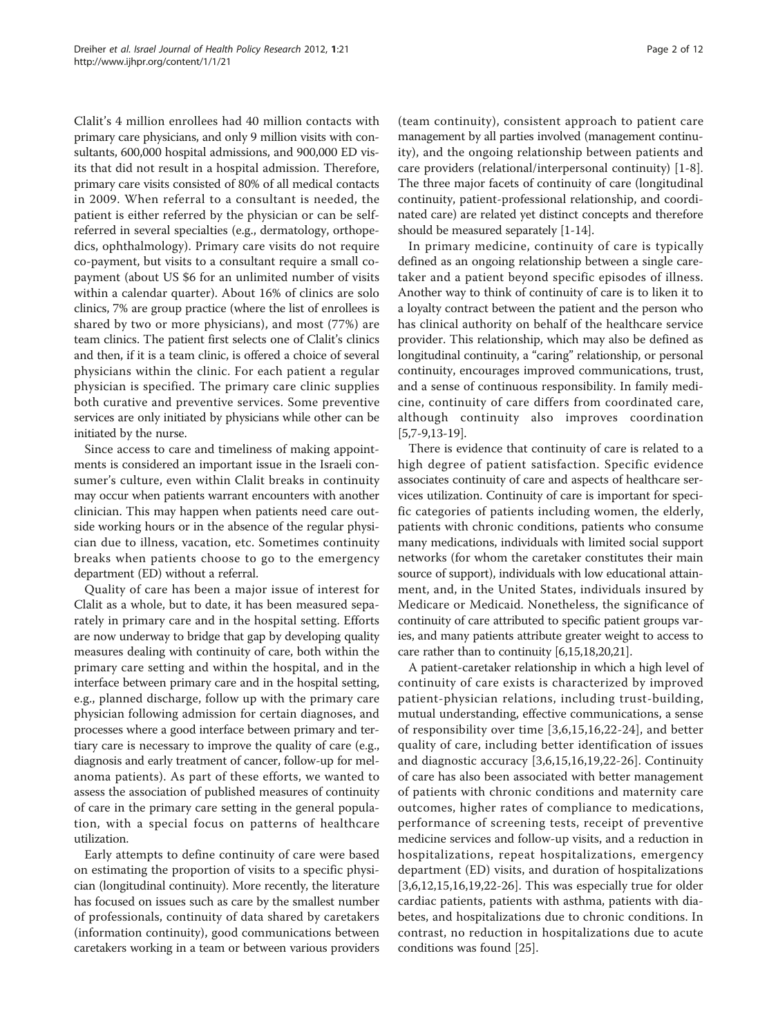Clalit's 4 million enrollees had 40 million contacts with primary care physicians, and only 9 million visits with consultants, 600,000 hospital admissions, and 900,000 ED visits that did not result in a hospital admission. Therefore, primary care visits consisted of 80% of all medical contacts in 2009. When referral to a consultant is needed, the patient is either referred by the physician or can be selfreferred in several specialties (e.g., dermatology, orthopedics, ophthalmology). Primary care visits do not require co-payment, but visits to a consultant require a small copayment (about US \$6 for an unlimited number of visits within a calendar quarter). About 16% of clinics are solo clinics, 7% are group practice (where the list of enrollees is shared by two or more physicians), and most (77%) are team clinics. The patient first selects one of Clalit's clinics and then, if it is a team clinic, is offered a choice of several physicians within the clinic. For each patient a regular physician is specified. The primary care clinic supplies both curative and preventive services. Some preventive services are only initiated by physicians while other can be initiated by the nurse.

Since access to care and timeliness of making appointments is considered an important issue in the Israeli consumer's culture, even within Clalit breaks in continuity may occur when patients warrant encounters with another clinician. This may happen when patients need care outside working hours or in the absence of the regular physician due to illness, vacation, etc. Sometimes continuity breaks when patients choose to go to the emergency department (ED) without a referral.

Quality of care has been a major issue of interest for Clalit as a whole, but to date, it has been measured separately in primary care and in the hospital setting. Efforts are now underway to bridge that gap by developing quality measures dealing with continuity of care, both within the primary care setting and within the hospital, and in the interface between primary care and in the hospital setting, e.g., planned discharge, follow up with the primary care physician following admission for certain diagnoses, and processes where a good interface between primary and tertiary care is necessary to improve the quality of care (e.g., diagnosis and early treatment of cancer, follow-up for melanoma patients). As part of these efforts, we wanted to assess the association of published measures of continuity of care in the primary care setting in the general population, with a special focus on patterns of healthcare utilization.

Early attempts to define continuity of care were based on estimating the proportion of visits to a specific physician (longitudinal continuity). More recently, the literature has focused on issues such as care by the smallest number of professionals, continuity of data shared by caretakers (information continuity), good communications between caretakers working in a team or between various providers (team continuity), consistent approach to patient care management by all parties involved (management continuity), and the ongoing relationship between patients and care providers (relational/interpersonal continuity) [[1-8](#page-10-0)]. The three major facets of continuity of care (longitudinal continuity, patient-professional relationship, and coordinated care) are related yet distinct concepts and therefore should be measured separately [\[1](#page-10-0)[-14\]](#page-11-0).

In primary medicine, continuity of care is typically defined as an ongoing relationship between a single caretaker and a patient beyond specific episodes of illness. Another way to think of continuity of care is to liken it to a loyalty contract between the patient and the person who has clinical authority on behalf of the healthcare service provider. This relationship, which may also be defined as longitudinal continuity, a "caring" relationship, or personal continuity, encourages improved communications, trust, and a sense of continuous responsibility. In family medicine, continuity of care differs from coordinated care, although continuity also improves coordination [[5,7-9,](#page-10-0)[13](#page-11-0)-[19](#page-11-0)].

There is evidence that continuity of care is related to a high degree of patient satisfaction. Specific evidence associates continuity of care and aspects of healthcare services utilization. Continuity of care is important for specific categories of patients including women, the elderly, patients with chronic conditions, patients who consume many medications, individuals with limited social support networks (for whom the caretaker constitutes their main source of support), individuals with low educational attainment, and, in the United States, individuals insured by Medicare or Medicaid. Nonetheless, the significance of continuity of care attributed to specific patient groups varies, and many patients attribute greater weight to access to care rather than to continuity [[6,](#page-10-0)[15,18,20,21](#page-11-0)].

A patient-caretaker relationship in which a high level of continuity of care exists is characterized by improved patient-physician relations, including trust-building, mutual understanding, effective communications, a sense of responsibility over time [[3,6](#page-10-0)[,15,16,22-24\]](#page-11-0), and better quality of care, including better identification of issues and diagnostic accuracy [\[3,6,](#page-10-0)[15,16](#page-11-0),[19,22-26\]](#page-11-0). Continuity of care has also been associated with better management of patients with chronic conditions and maternity care outcomes, higher rates of compliance to medications, performance of screening tests, receipt of preventive medicine services and follow-up visits, and a reduction in hospitalizations, repeat hospitalizations, emergency department (ED) visits, and duration of hospitalizations [[3,6](#page-10-0)[,12,15,16](#page-11-0),[19](#page-11-0),[22-26](#page-11-0)]. This was especially true for older cardiac patients, patients with asthma, patients with diabetes, and hospitalizations due to chronic conditions. In contrast, no reduction in hospitalizations due to acute conditions was found [\[25](#page-11-0)].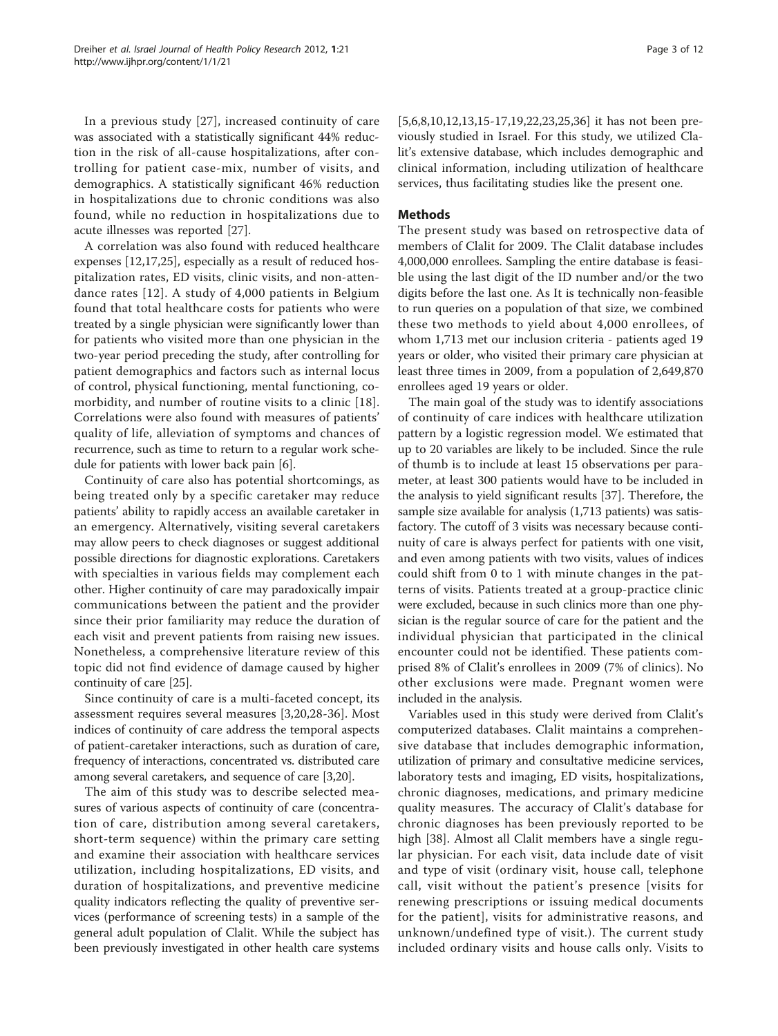In a previous study [\[27](#page-11-0)], increased continuity of care was associated with a statistically significant 44% reduction in the risk of all-cause hospitalizations, after controlling for patient case-mix, number of visits, and demographics. A statistically significant 46% reduction in hospitalizations due to chronic conditions was also found, while no reduction in hospitalizations due to acute illnesses was reported [\[27\]](#page-11-0).

A correlation was also found with reduced healthcare expenses [[12,17,25\]](#page-11-0), especially as a result of reduced hospitalization rates, ED visits, clinic visits, and non-attendance rates [\[12\]](#page-11-0). A study of 4,000 patients in Belgium found that total healthcare costs for patients who were treated by a single physician were significantly lower than for patients who visited more than one physician in the two-year period preceding the study, after controlling for patient demographics and factors such as internal locus of control, physical functioning, mental functioning, comorbidity, and number of routine visits to a clinic [[18](#page-11-0)]. Correlations were also found with measures of patients' quality of life, alleviation of symptoms and chances of recurrence, such as time to return to a regular work schedule for patients with lower back pain [\[6](#page-10-0)].

Continuity of care also has potential shortcomings, as being treated only by a specific caretaker may reduce patients' ability to rapidly access an available caretaker in an emergency. Alternatively, visiting several caretakers may allow peers to check diagnoses or suggest additional possible directions for diagnostic explorations. Caretakers with specialties in various fields may complement each other. Higher continuity of care may paradoxically impair communications between the patient and the provider since their prior familiarity may reduce the duration of each visit and prevent patients from raising new issues. Nonetheless, a comprehensive literature review of this topic did not find evidence of damage caused by higher continuity of care [\[25](#page-11-0)].

Since continuity of care is a multi-faceted concept, its assessment requires several measures [[3,](#page-10-0)[20,28](#page-11-0)-[36\]](#page-11-0). Most indices of continuity of care address the temporal aspects of patient-caretaker interactions, such as duration of care, frequency of interactions, concentrated vs. distributed care among several caretakers, and sequence of care [\[3](#page-10-0)[,20](#page-11-0)].

The aim of this study was to describe selected measures of various aspects of continuity of care (concentration of care, distribution among several caretakers, short-term sequence) within the primary care setting and examine their association with healthcare services utilization, including hospitalizations, ED visits, and duration of hospitalizations, and preventive medicine quality indicators reflecting the quality of preventive services (performance of screening tests) in a sample of the general adult population of Clalit. While the subject has been previously investigated in other health care systems [[5,6,8](#page-10-0)[,10,12,13,15](#page-11-0)-[17,19,22,23,25,36](#page-11-0)] it has not been previously studied in Israel. For this study, we utilized Clalit's extensive database, which includes demographic and clinical information, including utilization of healthcare services, thus facilitating studies like the present one.

## Methods

The present study was based on retrospective data of members of Clalit for 2009. The Clalit database includes 4,000,000 enrollees. Sampling the entire database is feasible using the last digit of the ID number and/or the two digits before the last one. As It is technically non-feasible to run queries on a population of that size, we combined these two methods to yield about 4,000 enrollees, of whom 1,713 met our inclusion criteria - patients aged 19 years or older, who visited their primary care physician at least three times in 2009, from a population of 2,649,870 enrollees aged 19 years or older.

The main goal of the study was to identify associations of continuity of care indices with healthcare utilization pattern by a logistic regression model. We estimated that up to 20 variables are likely to be included. Since the rule of thumb is to include at least 15 observations per parameter, at least 300 patients would have to be included in the analysis to yield significant results [\[37\]](#page-11-0). Therefore, the sample size available for analysis (1,713 patients) was satisfactory. The cutoff of 3 visits was necessary because continuity of care is always perfect for patients with one visit, and even among patients with two visits, values of indices could shift from 0 to 1 with minute changes in the patterns of visits. Patients treated at a group-practice clinic were excluded, because in such clinics more than one physician is the regular source of care for the patient and the individual physician that participated in the clinical encounter could not be identified. These patients comprised 8% of Clalit's enrollees in 2009 (7% of clinics). No other exclusions were made. Pregnant women were included in the analysis.

Variables used in this study were derived from Clalit's computerized databases. Clalit maintains a comprehensive database that includes demographic information, utilization of primary and consultative medicine services, laboratory tests and imaging, ED visits, hospitalizations, chronic diagnoses, medications, and primary medicine quality measures. The accuracy of Clalit's database for chronic diagnoses has been previously reported to be high [\[38\]](#page-11-0). Almost all Clalit members have a single regular physician. For each visit, data include date of visit and type of visit (ordinary visit, house call, telephone call, visit without the patient's presence [visits for renewing prescriptions or issuing medical documents for the patient], visits for administrative reasons, and unknown/undefined type of visit.). The current study included ordinary visits and house calls only. Visits to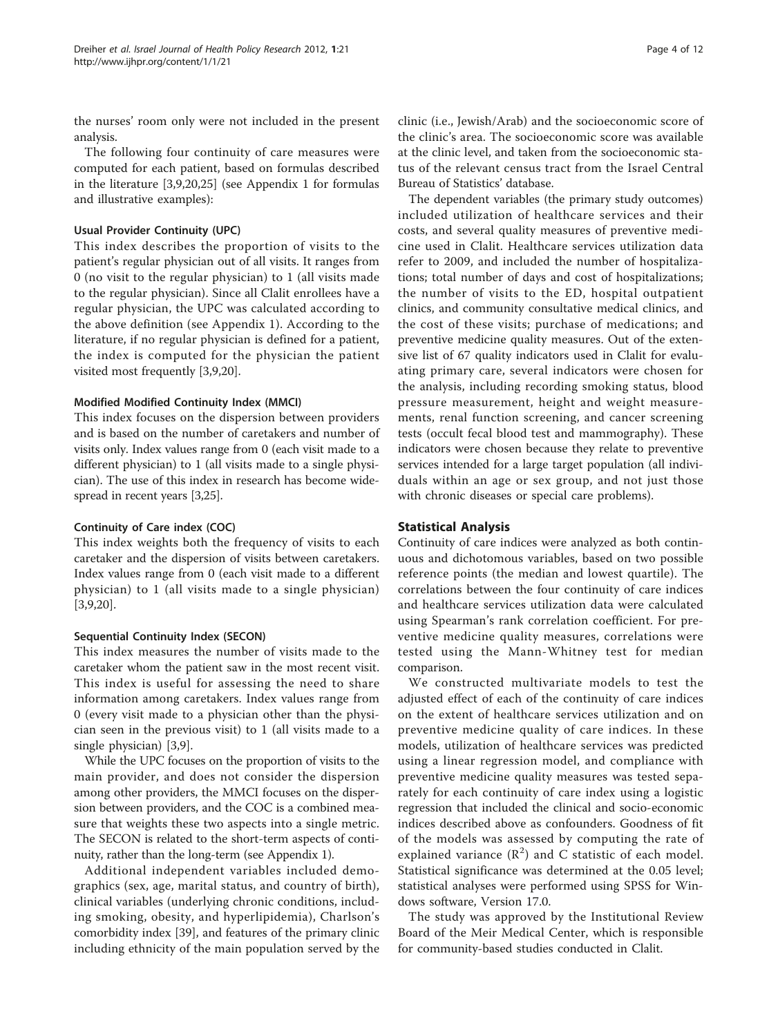the nurses' room only were not included in the present analysis.

The following four continuity of care measures were computed for each patient, based on formulas described in the literature [[3,9,](#page-10-0)[20](#page-11-0),[25](#page-11-0)] (see Appendix 1 for formulas and illustrative examples):

### Usual Provider Continuity (UPC)

This index describes the proportion of visits to the patient's regular physician out of all visits. It ranges from 0 (no visit to the regular physician) to 1 (all visits made to the regular physician). Since all Clalit enrollees have a regular physician, the UPC was calculated according to the above definition (see Appendix 1). According to the literature, if no regular physician is defined for a patient, the index is computed for the physician the patient visited most frequently [\[3,9](#page-10-0)[,20](#page-11-0)].

### Modified Modified Continuity Index (MMCI)

This index focuses on the dispersion between providers and is based on the number of caretakers and number of visits only. Index values range from 0 (each visit made to a different physician) to 1 (all visits made to a single physician). The use of this index in research has become widespread in recent years [\[3,](#page-10-0)[25\]](#page-11-0).

## Continuity of Care index (COC)

This index weights both the frequency of visits to each caretaker and the dispersion of visits between caretakers. Index values range from 0 (each visit made to a different physician) to 1 (all visits made to a single physician) [[3,9,](#page-10-0)[20\]](#page-11-0).

## Sequential Continuity Index (SECON)

This index measures the number of visits made to the caretaker whom the patient saw in the most recent visit. This index is useful for assessing the need to share information among caretakers. Index values range from 0 (every visit made to a physician other than the physician seen in the previous visit) to 1 (all visits made to a single physician) [[3](#page-10-0),[9\]](#page-10-0).

While the UPC focuses on the proportion of visits to the main provider, and does not consider the dispersion among other providers, the MMCI focuses on the dispersion between providers, and the COC is a combined measure that weights these two aspects into a single metric. The SECON is related to the short-term aspects of continuity, rather than the long-term (see Appendix 1).

Additional independent variables included demographics (sex, age, marital status, and country of birth), clinical variables (underlying chronic conditions, including smoking, obesity, and hyperlipidemia), Charlson's comorbidity index [\[39\]](#page-11-0), and features of the primary clinic including ethnicity of the main population served by the clinic (i.e., Jewish/Arab) and the socioeconomic score of the clinic's area. The socioeconomic score was available at the clinic level, and taken from the socioeconomic status of the relevant census tract from the Israel Central Bureau of Statistics' database.

The dependent variables (the primary study outcomes) included utilization of healthcare services and their costs, and several quality measures of preventive medicine used in Clalit. Healthcare services utilization data refer to 2009, and included the number of hospitalizations; total number of days and cost of hospitalizations; the number of visits to the ED, hospital outpatient clinics, and community consultative medical clinics, and the cost of these visits; purchase of medications; and preventive medicine quality measures. Out of the extensive list of 67 quality indicators used in Clalit for evaluating primary care, several indicators were chosen for the analysis, including recording smoking status, blood pressure measurement, height and weight measurements, renal function screening, and cancer screening tests (occult fecal blood test and mammography). These indicators were chosen because they relate to preventive services intended for a large target population (all individuals within an age or sex group, and not just those with chronic diseases or special care problems).

## Statistical Analysis

Continuity of care indices were analyzed as both continuous and dichotomous variables, based on two possible reference points (the median and lowest quartile). The correlations between the four continuity of care indices and healthcare services utilization data were calculated using Spearman's rank correlation coefficient. For preventive medicine quality measures, correlations were tested using the Mann-Whitney test for median comparison.

We constructed multivariate models to test the adjusted effect of each of the continuity of care indices on the extent of healthcare services utilization and on preventive medicine quality of care indices. In these models, utilization of healthcare services was predicted using a linear regression model, and compliance with preventive medicine quality measures was tested separately for each continuity of care index using a logistic regression that included the clinical and socio-economic indices described above as confounders. Goodness of fit of the models was assessed by computing the rate of explained variance  $(R^2)$  and C statistic of each model. Statistical significance was determined at the 0.05 level; statistical analyses were performed using SPSS for Windows software, Version 17.0.

The study was approved by the Institutional Review Board of the Meir Medical Center, which is responsible for community-based studies conducted in Clalit.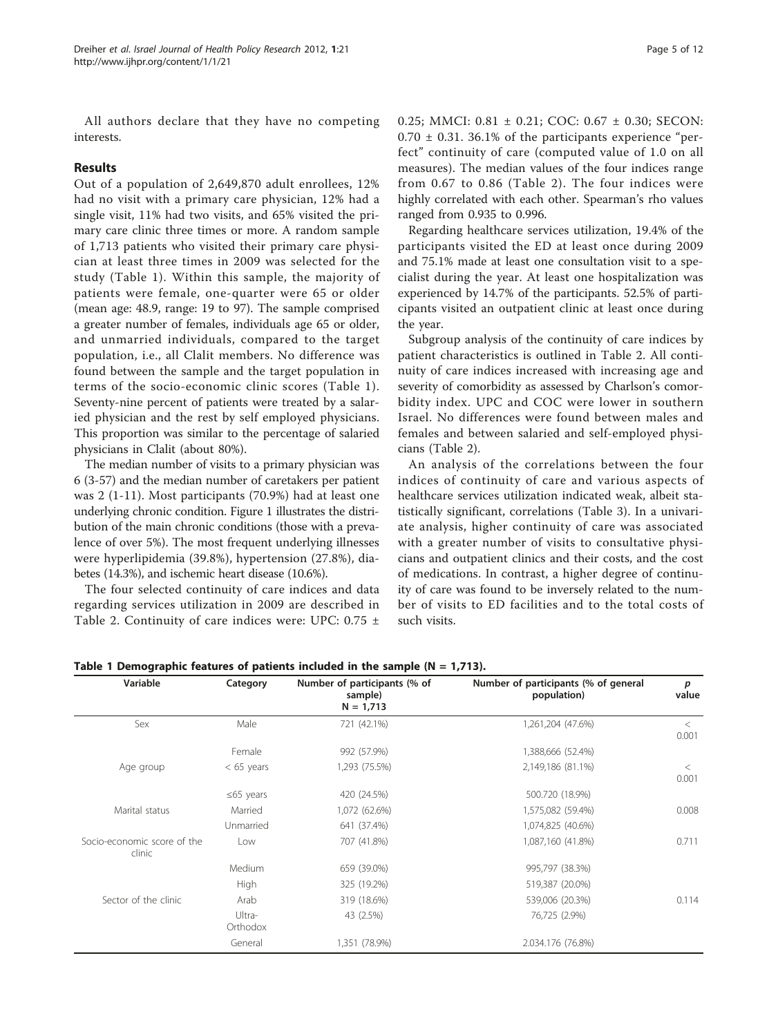All authors declare that they have no competing interests.

### Results

Out of a population of 2,649,870 adult enrollees, 12% had no visit with a primary care physician, 12% had a single visit, 11% had two visits, and 65% visited the primary care clinic three times or more. A random sample of 1,713 patients who visited their primary care physician at least three times in 2009 was selected for the study (Table 1). Within this sample, the majority of patients were female, one-quarter were 65 or older (mean age: 48.9, range: 19 to 97). The sample comprised a greater number of females, individuals age 65 or older, and unmarried individuals, compared to the target population, i.e., all Clalit members. No difference was found between the sample and the target population in terms of the socio-economic clinic scores (Table 1). Seventy-nine percent of patients were treated by a salaried physician and the rest by self employed physicians. This proportion was similar to the percentage of salaried physicians in Clalit (about 80%).

The median number of visits to a primary physician was 6 (3-57) and the median number of caretakers per patient was 2 (1-11). Most participants (70.9%) had at least one underlying chronic condition. Figure [1](#page-5-0) illustrates the distribution of the main chronic conditions (those with a prevalence of over 5%). The most frequent underlying illnesses were hyperlipidemia (39.8%), hypertension (27.8%), diabetes (14.3%), and ischemic heart disease (10.6%).

The four selected continuity of care indices and data regarding services utilization in 2009 are described in Table [2](#page-6-0). Continuity of care indices were: UPC: 0.75 ± 0.25; MMCI: 0.81 ± 0.21; COC: 0.67 ± 0.30; SECON:  $0.70 \pm 0.31$ . 36.1% of the participants experience "perfect" continuity of care (computed value of 1.0 on all measures). The median values of the four indices range from 0.67 to 0.86 (Table [2\)](#page-6-0). The four indices were highly correlated with each other. Spearman's rho values ranged from 0.935 to 0.996.

Regarding healthcare services utilization, 19.4% of the participants visited the ED at least once during 2009 and 75.1% made at least one consultation visit to a specialist during the year. At least one hospitalization was experienced by 14.7% of the participants. 52.5% of participants visited an outpatient clinic at least once during the year.

Subgroup analysis of the continuity of care indices by patient characteristics is outlined in Table [2](#page-6-0). All continuity of care indices increased with increasing age and severity of comorbidity as assessed by Charlson's comorbidity index. UPC and COC were lower in southern Israel. No differences were found between males and females and between salaried and self-employed physicians (Table [2\)](#page-6-0).

An analysis of the correlations between the four indices of continuity of care and various aspects of healthcare services utilization indicated weak, albeit statistically significant, correlations (Table [3](#page-6-0)). In a univariate analysis, higher continuity of care was associated with a greater number of visits to consultative physicians and outpatient clinics and their costs, and the cost of medications. In contrast, a higher degree of continuity of care was found to be inversely related to the number of visits to ED facilities and to the total costs of such visits.

| Variable                              | Category           | Number of participants (% of<br>sample)<br>$N = 1,713$ | Number of participants (% of general<br>population) | p<br>value       |
|---------------------------------------|--------------------|--------------------------------------------------------|-----------------------------------------------------|------------------|
| Sex                                   | Male               | 721 (42.1%)                                            | 1,261,204 (47.6%)                                   | $\,<\,$<br>0.001 |
|                                       | Female             | 992 (57.9%)                                            | 1,388,666 (52.4%)                                   |                  |
| Age group                             | $< 65$ years       | 1,293 (75.5%)                                          | 2,149,186 (81.1%)                                   | $\,<\,$<br>0.001 |
|                                       | $\leq 65$ years    | 420 (24.5%)                                            | 500.720 (18.9%)                                     |                  |
| Marital status                        | Married            | 1,072 (62.6%)                                          | 1,575,082 (59.4%)                                   | 0.008            |
|                                       | Unmarried          | 641 (37.4%)                                            | 1,074,825 (40.6%)                                   |                  |
| Socio-economic score of the<br>clinic | Low                | 707 (41.8%)                                            | 1,087,160 (41.8%)                                   | 0.711            |
|                                       | Medium             | 659 (39.0%)                                            | 995,797 (38.3%)                                     |                  |
|                                       | High               | 325 (19.2%)                                            | 519,387 (20.0%)                                     |                  |
| Sector of the clinic                  | Arab               | 319 (18.6%)                                            | 539,006 (20.3%)                                     | 0.114            |
|                                       | Ultra-<br>Orthodox | 43 (2.5%)                                              | 76,725 (2.9%)                                       |                  |
|                                       | General            | 1,351 (78.9%)                                          | 2.034.176 (76.8%)                                   |                  |

Table 1 Demographic features of patients included in the sample ( $N = 1,713$ ).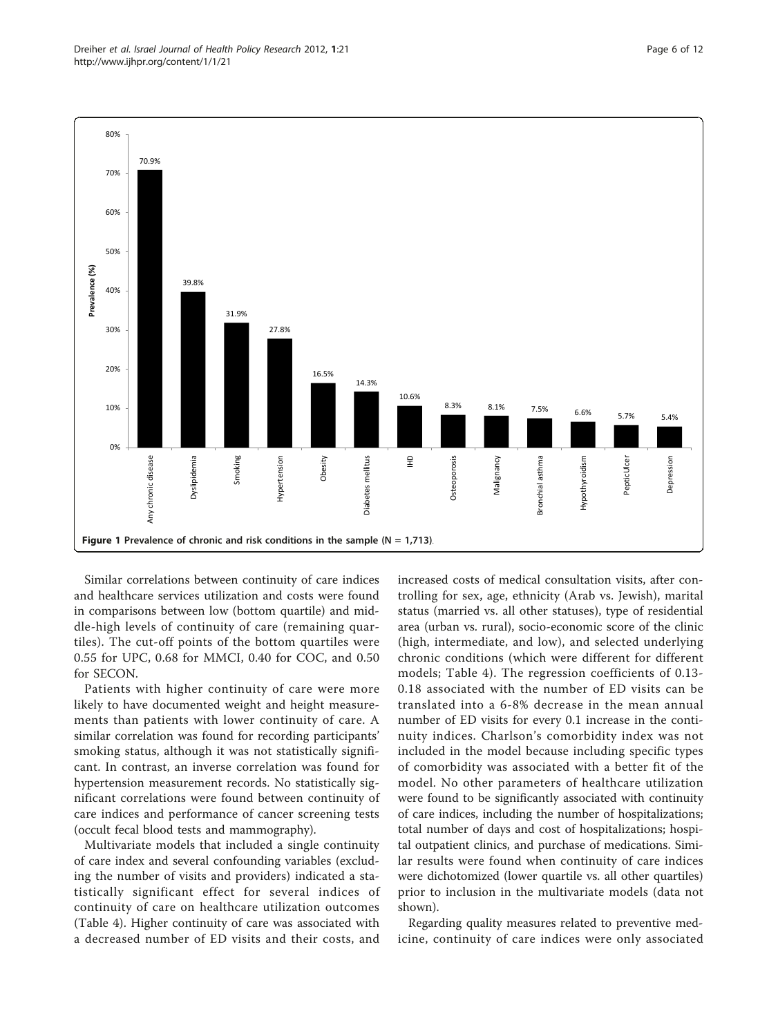Similar correlations between continuity of care indices and healthcare services utilization and costs were found in comparisons between low (bottom quartile) and middle-high levels of continuity of care (remaining quartiles). The cut-off points of the bottom quartiles were 0.55 for UPC, 0.68 for MMCI, 0.40 for COC, and 0.50 for SECON.

Figure 1 Prevalence of chronic and risk conditions in the sample ( $N = 1.713$ ).

Patients with higher continuity of care were more likely to have documented weight and height measurements than patients with lower continuity of care. A similar correlation was found for recording participants' smoking status, although it was not statistically significant. In contrast, an inverse correlation was found for hypertension measurement records. No statistically significant correlations were found between continuity of care indices and performance of cancer screening tests (occult fecal blood tests and mammography).

Multivariate models that included a single continuity of care index and several confounding variables (excluding the number of visits and providers) indicated a statistically significant effect for several indices of continuity of care on healthcare utilization outcomes (Table [4](#page-7-0)). Higher continuity of care was associated with a decreased number of ED visits and their costs, and increased costs of medical consultation visits, after controlling for sex, age, ethnicity (Arab vs. Jewish), marital status (married vs. all other statuses), type of residential area (urban vs. rural), socio-economic score of the clinic (high, intermediate, and low), and selected underlying chronic conditions (which were different for different models; Table [4\)](#page-7-0). The regression coefficients of 0.13- 0.18 associated with the number of ED visits can be translated into a 6-8% decrease in the mean annual number of ED visits for every 0.1 increase in the continuity indices. Charlson's comorbidity index was not included in the model because including specific types of comorbidity was associated with a better fit of the model. No other parameters of healthcare utilization were found to be significantly associated with continuity of care indices, including the number of hospitalizations; total number of days and cost of hospitalizations; hospital outpatient clinics, and purchase of medications. Similar results were found when continuity of care indices were dichotomized (lower quartile vs. all other quartiles) prior to inclusion in the multivariate models (data not shown).

Regarding quality measures related to preventive medicine, continuity of care indices were only associated

<span id="page-5-0"></span>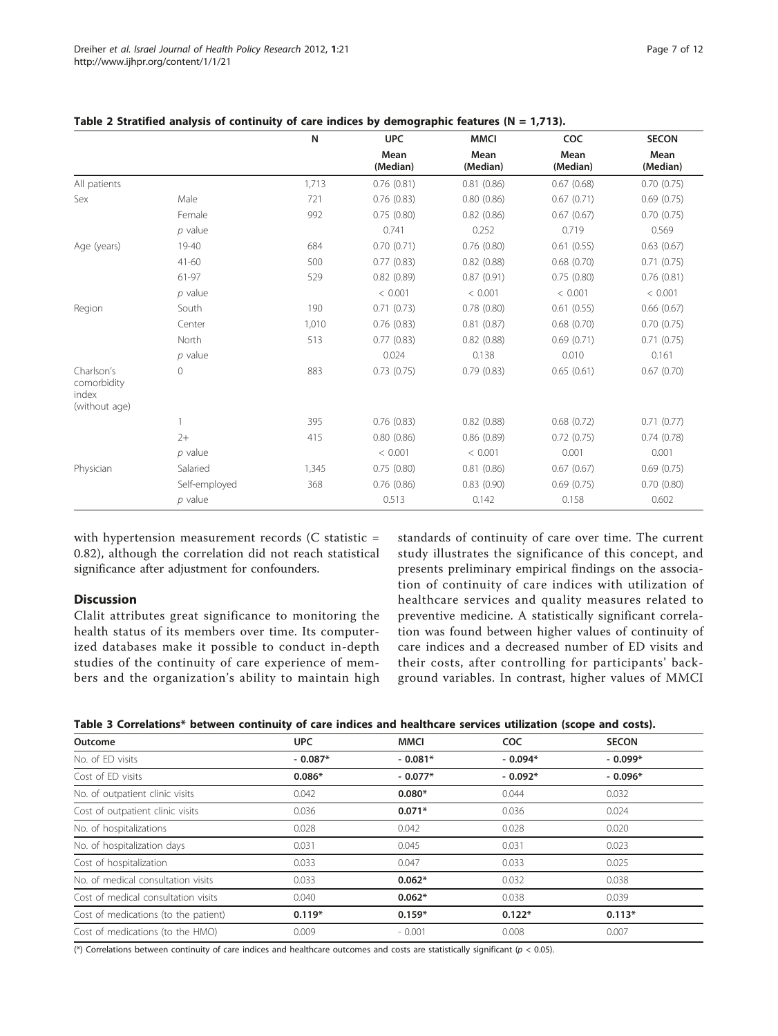|                                                     |               | N     | <b>UPC</b>       | <b>MMCI</b>      | COC              | <b>SECON</b>     |
|-----------------------------------------------------|---------------|-------|------------------|------------------|------------------|------------------|
|                                                     |               |       | Mean<br>(Median) | Mean<br>(Median) | Mean<br>(Median) | Mean<br>(Median) |
| All patients                                        |               | 1,713 | 0.76(0.81)       | 0.81(0.86)       | 0.67(0.68)       | 0.70(0.75)       |
| Sex                                                 | Male          | 721   | 0.76(0.83)       | 0.80(0.86)       | 0.67(0.71)       | 0.69(0.75)       |
|                                                     | Female        | 992   | 0.75(0.80)       | 0.82(0.86)       | 0.67(0.67)       | 0.70(0.75)       |
|                                                     | $p$ value     |       | 0.741            | 0.252            | 0.719            | 0.569            |
| Age (years)                                         | 19-40         | 684   | 0.70(0.71)       | 0.76(0.80)       | 0.61(0.55)       | $0.63$ $(0.67)$  |
|                                                     | $41 - 60$     | 500   | 0.77(0.83)       | 0.82(0.88)       | 0.68(0.70)       | 0.71(0.75)       |
|                                                     | 61-97         | 529   | 0.82(0.89)       | 0.87(0.91)       | 0.75(0.80)       | 0.76(0.81)       |
|                                                     | $p$ value     |       | < 0.001          | < 0.001          | < 0.001          | < 0.001          |
| Region                                              | South         | 190   | 0.71(0.73)       | 0.78(0.80)       | 0.61(0.55)       | 0.66(0.67)       |
|                                                     | Center        | 1,010 | 0.76(0.83)       | 0.81(0.87)       | 0.68(0.70)       | 0.70(0.75)       |
|                                                     | North         | 513   | 0.77(0.83)       | 0.82(0.88)       | 0.69(0.71)       | 0.71(0.75)       |
|                                                     | $p$ value     |       | 0.024            | 0.138            | 0.010            | 0.161            |
| Charlson's<br>comorbidity<br>index<br>(without age) | $\circ$       | 883   | 0.73(0.75)       | 0.79(0.83)       | 0.65(0.61)       | 0.67(0.70)       |
|                                                     |               | 395   | 0.76(0.83)       | 0.82(0.88)       | 0.68(0.72)       | 0.71(0.77)       |
|                                                     | $2+$          | 415   | 0.80(0.86)       | 0.86(0.89)       | 0.72(0.75)       | 0.74(0.78)       |
|                                                     | $p$ value     |       | < 0.001          | < 0.001          | 0.001            | 0.001            |
| Physician                                           | Salaried      | 1,345 | 0.75(0.80)       | 0.81(0.86)       | 0.67(0.67)       | 0.69(0.75)       |
|                                                     | Self-employed | 368   | 0.76(0.86)       | 0.83(0.90)       | 0.69(0.75)       | 0.70(0.80)       |
|                                                     | $p$ value     |       | 0.513            | 0.142            | 0.158            | 0.602            |

<span id="page-6-0"></span>

|  |  | Table 2 Stratified analysis of continuity of care indices by demographic features ( $N = 1,713$ ). |
|--|--|----------------------------------------------------------------------------------------------------|
|--|--|----------------------------------------------------------------------------------------------------|

with hypertension measurement records (C statistic = 0.82), although the correlation did not reach statistical significance after adjustment for confounders.

### **Discussion**

Clalit attributes great significance to monitoring the health status of its members over time. Its computerized databases make it possible to conduct in-depth studies of the continuity of care experience of members and the organization's ability to maintain high standards of continuity of care over time. The current study illustrates the significance of this concept, and presents preliminary empirical findings on the association of continuity of care indices with utilization of healthcare services and quality measures related to preventive medicine. A statistically significant correlation was found between higher values of continuity of care indices and a decreased number of ED visits and their costs, after controlling for participants' background variables. In contrast, higher values of MMCI

| Table 3 Correlations* between continuity of care indices and healthcare services utilization (scope and costs). |  |  |
|-----------------------------------------------------------------------------------------------------------------|--|--|
|-----------------------------------------------------------------------------------------------------------------|--|--|

| Outcome                              | <b>UPC</b> | <b>MMCI</b> | COC       | <b>SECON</b> |
|--------------------------------------|------------|-------------|-----------|--------------|
| No. of ED visits                     | $-0.087*$  | $-0.081*$   | $-0.094*$ | $-0.099*$    |
| Cost of ED visits                    | $0.086*$   | $-0.077*$   | $-0.092*$ | $-0.096*$    |
| No. of outpatient clinic visits      | 0.042      | $0.080*$    | 0.044     | 0.032        |
| Cost of outpatient clinic visits     | 0.036      | $0.071*$    | 0.036     | 0.024        |
| No. of hospitalizations              | 0.028      | 0.042       | 0.028     | 0.020        |
| No. of hospitalization days          | 0.031      | 0.045       | 0.031     | 0.023        |
| Cost of hospitalization              | 0.033      | 0.047       | 0.033     | 0.025        |
| No. of medical consultation visits   | 0.033      | $0.062*$    | 0.032     | 0.038        |
| Cost of medical consultation visits  | 0.040      | $0.062*$    | 0.038     | 0.039        |
| Cost of medications (to the patient) | $0.119*$   | $0.159*$    | $0.122*$  | $0.113*$     |
| Cost of medications (to the HMO)     | 0.009      | $-0.001$    | 0.008     | 0.007        |

(\*) Correlations between continuity of care indices and healthcare outcomes and costs are statistically significant ( $p < 0.05$ ).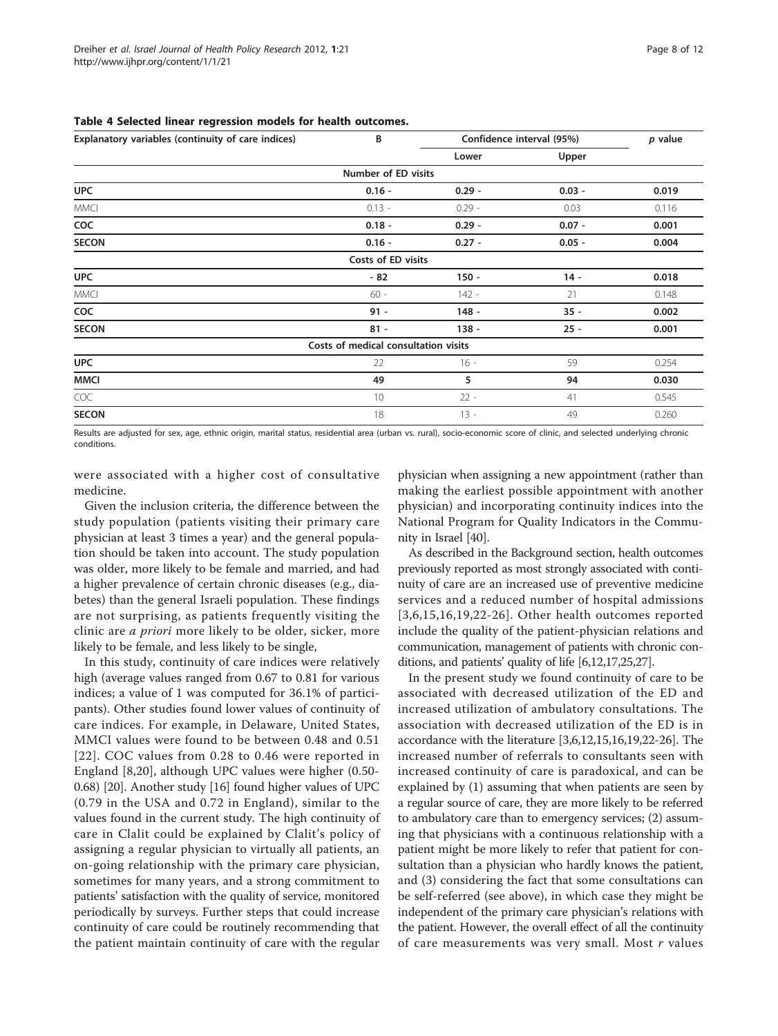| Explanatory variables (continuity of care indices) | В                                    | Confidence interval (95%) |          | p value |  |
|----------------------------------------------------|--------------------------------------|---------------------------|----------|---------|--|
|                                                    |                                      | Lower                     | Upper    |         |  |
|                                                    | Number of ED visits                  |                           |          |         |  |
| <b>UPC</b>                                         | $0.16 -$                             | $0.29 -$                  | $0.03 -$ | 0.019   |  |
| <b>MMCI</b>                                        | $0.13 -$                             | $0.29 -$                  | 0.03     | 0.116   |  |
| COC                                                | $0.18 -$                             | $0.29 -$                  | $0.07 -$ | 0.001   |  |
| <b>SECON</b>                                       | $0.16 -$                             | $0.27 -$                  | $0.05 -$ | 0.004   |  |
|                                                    | Costs of ED visits                   |                           |          |         |  |
| <b>UPC</b>                                         | - 82                                 | $150 -$                   | $14 -$   | 0.018   |  |
| <b>MMCI</b>                                        | $60 -$                               | $142 -$                   | 21       | 0.148   |  |
| COC                                                | $91 -$                               | $148 -$                   | $35 -$   | 0.002   |  |
| <b>SECON</b>                                       | $81 -$                               | $138 -$                   | $25 -$   | 0.001   |  |
|                                                    | Costs of medical consultation visits |                           |          |         |  |
| <b>UPC</b>                                         | 22                                   | $16 -$                    | 59       | 0.254   |  |
| <b>MMCI</b>                                        | 49                                   | 5                         | 94       | 0.030   |  |
| COC                                                | 10                                   | $22 -$                    | 41       | 0.545   |  |
| <b>SECON</b>                                       | 18                                   | $13 -$                    | 49       | 0.260   |  |

#### <span id="page-7-0"></span>Table 4 Selected linear regression models for health outcomes.

Results are adjusted for sex, age, ethnic origin, marital status, residential area (urban vs. rural), socio-economic score of clinic, and selected underlying chronic conditions.

were associated with a higher cost of consultative medicine.

Given the inclusion criteria, the difference between the study population (patients visiting their primary care physician at least 3 times a year) and the general population should be taken into account. The study population was older, more likely to be female and married, and had a higher prevalence of certain chronic diseases (e.g., diabetes) than the general Israeli population. These findings are not surprising, as patients frequently visiting the clinic are a priori more likely to be older, sicker, more likely to be female, and less likely to be single,

In this study, continuity of care indices were relatively high (average values ranged from 0.67 to 0.81 for various indices; a value of 1 was computed for 36.1% of participants). Other studies found lower values of continuity of care indices. For example, in Delaware, United States, MMCI values were found to be between 0.48 and 0.51 [[22\]](#page-11-0). COC values from 0.28 to 0.46 were reported in England [[8](#page-10-0)[,20](#page-11-0)], although UPC values were higher (0.50- 0.68) [\[20\]](#page-11-0). Another study [\[16](#page-11-0)] found higher values of UPC (0.79 in the USA and 0.72 in England), similar to the values found in the current study. The high continuity of care in Clalit could be explained by Clalit's policy of assigning a regular physician to virtually all patients, an on-going relationship with the primary care physician, sometimes for many years, and a strong commitment to patients' satisfaction with the quality of service, monitored periodically by surveys. Further steps that could increase continuity of care could be routinely recommending that the patient maintain continuity of care with the regular

physician when assigning a new appointment (rather than making the earliest possible appointment with another physician) and incorporating continuity indices into the National Program for Quality Indicators in the Community in Israel [\[40\]](#page-11-0).

As described in the Background section, health outcomes previously reported as most strongly associated with continuity of care are an increased use of preventive medicine services and a reduced number of hospital admissions [[3](#page-10-0),[6](#page-10-0),[15](#page-11-0),[16,19,22-26](#page-11-0)]. Other health outcomes reported include the quality of the patient-physician relations and communication, management of patients with chronic conditions, and patients' quality of life [[6](#page-10-0)[,12,17,25,27](#page-11-0)].

In the present study we found continuity of care to be associated with decreased utilization of the ED and increased utilization of ambulatory consultations. The association with decreased utilization of the ED is in accordance with the literature [[3,6,](#page-10-0)[12,15,16,19,22](#page-11-0)-[26\]](#page-11-0). The increased number of referrals to consultants seen with increased continuity of care is paradoxical, and can be explained by (1) assuming that when patients are seen by a regular source of care, they are more likely to be referred to ambulatory care than to emergency services; (2) assuming that physicians with a continuous relationship with a patient might be more likely to refer that patient for consultation than a physician who hardly knows the patient, and (3) considering the fact that some consultations can be self-referred (see above), in which case they might be independent of the primary care physician's relations with the patient. However, the overall effect of all the continuity of care measurements was very small. Most r values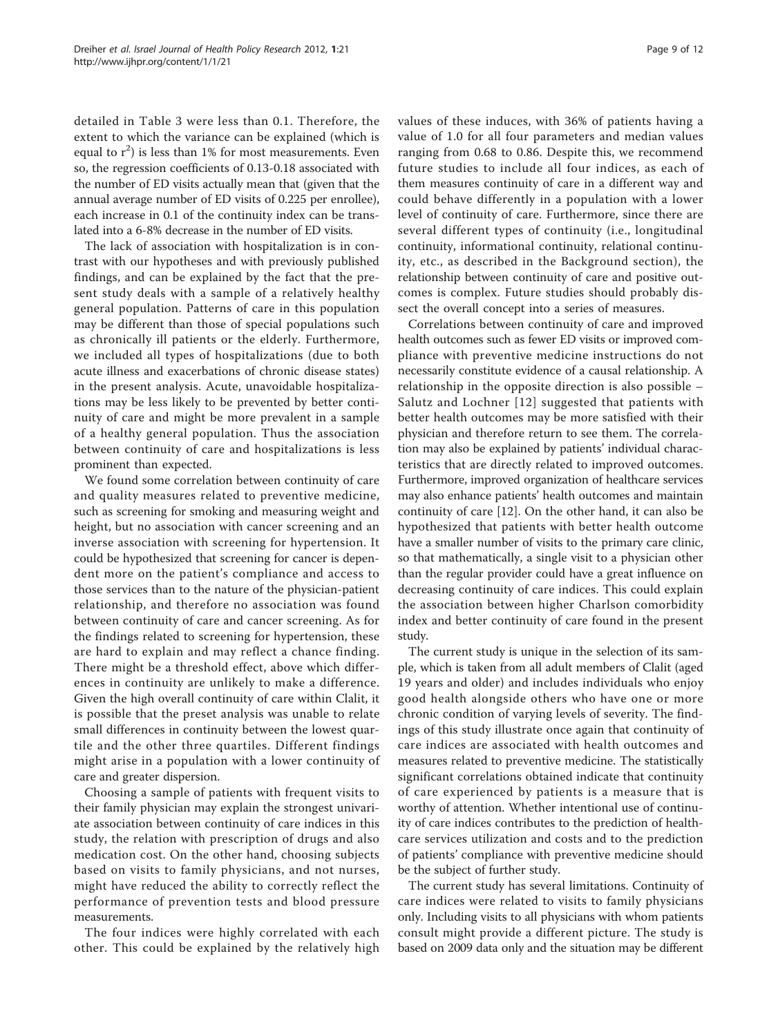detailed in Table [3](#page-6-0) were less than 0.1. Therefore, the extent to which the variance can be explained (which is equal to  $r^2$ ) is less than 1% for most measurements. Even so, the regression coefficients of 0.13-0.18 associated with the number of ED visits actually mean that (given that the annual average number of ED visits of 0.225 per enrollee), each increase in 0.1 of the continuity index can be translated into a 6-8% decrease in the number of ED visits.

The lack of association with hospitalization is in contrast with our hypotheses and with previously published findings, and can be explained by the fact that the present study deals with a sample of a relatively healthy general population. Patterns of care in this population may be different than those of special populations such as chronically ill patients or the elderly. Furthermore, we included all types of hospitalizations (due to both acute illness and exacerbations of chronic disease states) in the present analysis. Acute, unavoidable hospitalizations may be less likely to be prevented by better continuity of care and might be more prevalent in a sample of a healthy general population. Thus the association between continuity of care and hospitalizations is less prominent than expected.

We found some correlation between continuity of care and quality measures related to preventive medicine, such as screening for smoking and measuring weight and height, but no association with cancer screening and an inverse association with screening for hypertension. It could be hypothesized that screening for cancer is dependent more on the patient's compliance and access to those services than to the nature of the physician-patient relationship, and therefore no association was found between continuity of care and cancer screening. As for the findings related to screening for hypertension, these are hard to explain and may reflect a chance finding. There might be a threshold effect, above which differences in continuity are unlikely to make a difference. Given the high overall continuity of care within Clalit, it is possible that the preset analysis was unable to relate small differences in continuity between the lowest quartile and the other three quartiles. Different findings might arise in a population with a lower continuity of care and greater dispersion.

Choosing a sample of patients with frequent visits to their family physician may explain the strongest univariate association between continuity of care indices in this study, the relation with prescription of drugs and also medication cost. On the other hand, choosing subjects based on visits to family physicians, and not nurses, might have reduced the ability to correctly reflect the performance of prevention tests and blood pressure measurements.

The four indices were highly correlated with each other. This could be explained by the relatively high values of these induces, with 36% of patients having a value of 1.0 for all four parameters and median values ranging from 0.68 to 0.86. Despite this, we recommend future studies to include all four indices, as each of them measures continuity of care in a different way and could behave differently in a population with a lower level of continuity of care. Furthermore, since there are several different types of continuity (i.e., longitudinal continuity, informational continuity, relational continuity, etc., as described in the Background section), the relationship between continuity of care and positive outcomes is complex. Future studies should probably dissect the overall concept into a series of measures.

Correlations between continuity of care and improved health outcomes such as fewer ED visits or improved compliance with preventive medicine instructions do not necessarily constitute evidence of a causal relationship. A relationship in the opposite direction is also possible – Salutz and Lochner [[12\]](#page-11-0) suggested that patients with better health outcomes may be more satisfied with their physician and therefore return to see them. The correlation may also be explained by patients' individual characteristics that are directly related to improved outcomes. Furthermore, improved organization of healthcare services may also enhance patients' health outcomes and maintain continuity of care [[12\]](#page-11-0). On the other hand, it can also be hypothesized that patients with better health outcome have a smaller number of visits to the primary care clinic, so that mathematically, a single visit to a physician other than the regular provider could have a great influence on decreasing continuity of care indices. This could explain the association between higher Charlson comorbidity index and better continuity of care found in the present study.

The current study is unique in the selection of its sample, which is taken from all adult members of Clalit (aged 19 years and older) and includes individuals who enjoy good health alongside others who have one or more chronic condition of varying levels of severity. The findings of this study illustrate once again that continuity of care indices are associated with health outcomes and measures related to preventive medicine. The statistically significant correlations obtained indicate that continuity of care experienced by patients is a measure that is worthy of attention. Whether intentional use of continuity of care indices contributes to the prediction of healthcare services utilization and costs and to the prediction of patients' compliance with preventive medicine should be the subject of further study.

The current study has several limitations. Continuity of care indices were related to visits to family physicians only. Including visits to all physicians with whom patients consult might provide a different picture. The study is based on 2009 data only and the situation may be different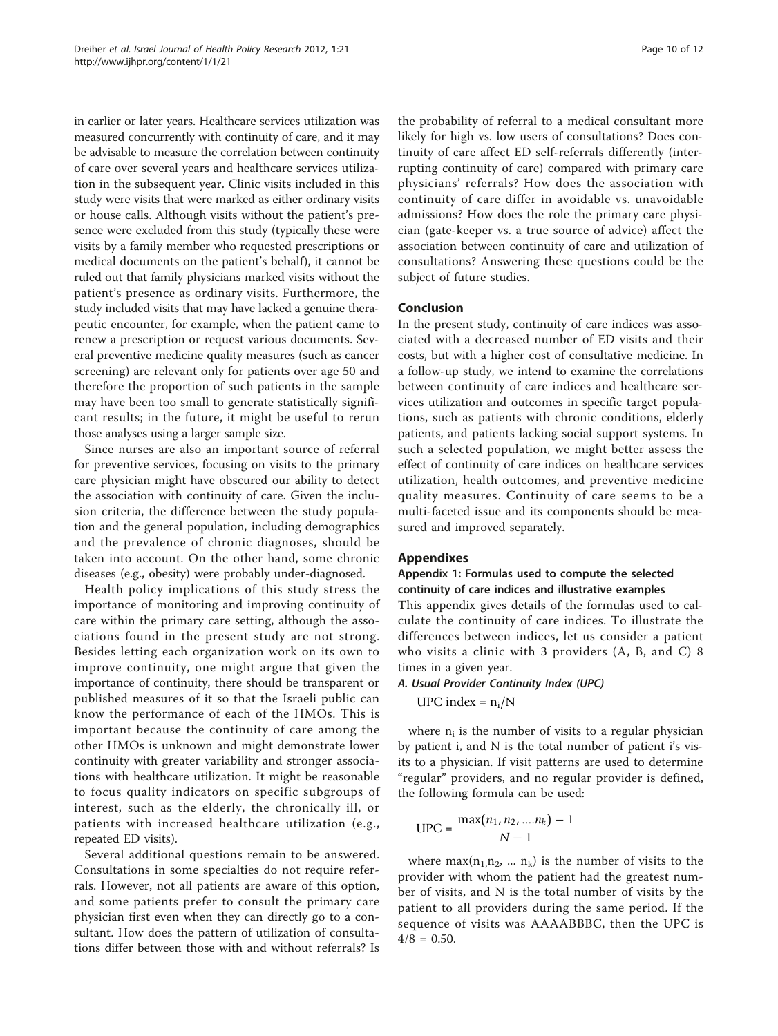in earlier or later years. Healthcare services utilization was measured concurrently with continuity of care, and it may be advisable to measure the correlation between continuity of care over several years and healthcare services utilization in the subsequent year. Clinic visits included in this study were visits that were marked as either ordinary visits or house calls. Although visits without the patient's presence were excluded from this study (typically these were visits by a family member who requested prescriptions or medical documents on the patient's behalf), it cannot be ruled out that family physicians marked visits without the patient's presence as ordinary visits. Furthermore, the study included visits that may have lacked a genuine therapeutic encounter, for example, when the patient came to renew a prescription or request various documents. Several preventive medicine quality measures (such as cancer screening) are relevant only for patients over age 50 and therefore the proportion of such patients in the sample may have been too small to generate statistically significant results; in the future, it might be useful to rerun those analyses using a larger sample size.

Since nurses are also an important source of referral for preventive services, focusing on visits to the primary care physician might have obscured our ability to detect the association with continuity of care. Given the inclusion criteria, the difference between the study population and the general population, including demographics and the prevalence of chronic diagnoses, should be taken into account. On the other hand, some chronic diseases (e.g., obesity) were probably under-diagnosed.

Health policy implications of this study stress the importance of monitoring and improving continuity of care within the primary care setting, although the associations found in the present study are not strong. Besides letting each organization work on its own to improve continuity, one might argue that given the importance of continuity, there should be transparent or published measures of it so that the Israeli public can know the performance of each of the HMOs. This is important because the continuity of care among the other HMOs is unknown and might demonstrate lower continuity with greater variability and stronger associations with healthcare utilization. It might be reasonable to focus quality indicators on specific subgroups of interest, such as the elderly, the chronically ill, or patients with increased healthcare utilization (e.g., repeated ED visits).

Several additional questions remain to be answered. Consultations in some specialties do not require referrals. However, not all patients are aware of this option, and some patients prefer to consult the primary care physician first even when they can directly go to a consultant. How does the pattern of utilization of consultations differ between those with and without referrals? Is

the probability of referral to a medical consultant more likely for high vs. low users of consultations? Does continuity of care affect ED self-referrals differently (interrupting continuity of care) compared with primary care physicians' referrals? How does the association with continuity of care differ in avoidable vs. unavoidable admissions? How does the role the primary care physician (gate-keeper vs. a true source of advice) affect the association between continuity of care and utilization of consultations? Answering these questions could be the subject of future studies.

## Conclusion

In the present study, continuity of care indices was associated with a decreased number of ED visits and their costs, but with a higher cost of consultative medicine. In a follow-up study, we intend to examine the correlations between continuity of care indices and healthcare services utilization and outcomes in specific target populations, such as patients with chronic conditions, elderly patients, and patients lacking social support systems. In such a selected population, we might better assess the effect of continuity of care indices on healthcare services utilization, health outcomes, and preventive medicine quality measures. Continuity of care seems to be a multi-faceted issue and its components should be measured and improved separately.

#### Appendixes

### Appendix 1: Formulas used to compute the selected continuity of care indices and illustrative examples

This appendix gives details of the formulas used to calculate the continuity of care indices. To illustrate the differences between indices, let us consider a patient who visits a clinic with 3 providers (A, B, and C) 8 times in a given year.

A. Usual Provider Continuity Index (UPC)

UPC index =  $n_i/N$ 

where  $n_i$  is the number of visits to a regular physician by patient i, and N is the total number of patient i's visits to a physician. If visit patterns are used to determine "regular" providers, and no regular provider is defined, the following formula can be used:

$$
UPC = \frac{\max(n_1, n_2, ..., n_k) - 1}{N - 1}
$$

where  $max(n_1, n_2, ... n_k)$  is the number of visits to the provider with whom the patient had the greatest number of visits, and N is the total number of visits by the patient to all providers during the same period. If the sequence of visits was AAAABBBC, then the UPC is  $4/8 = 0.50$ .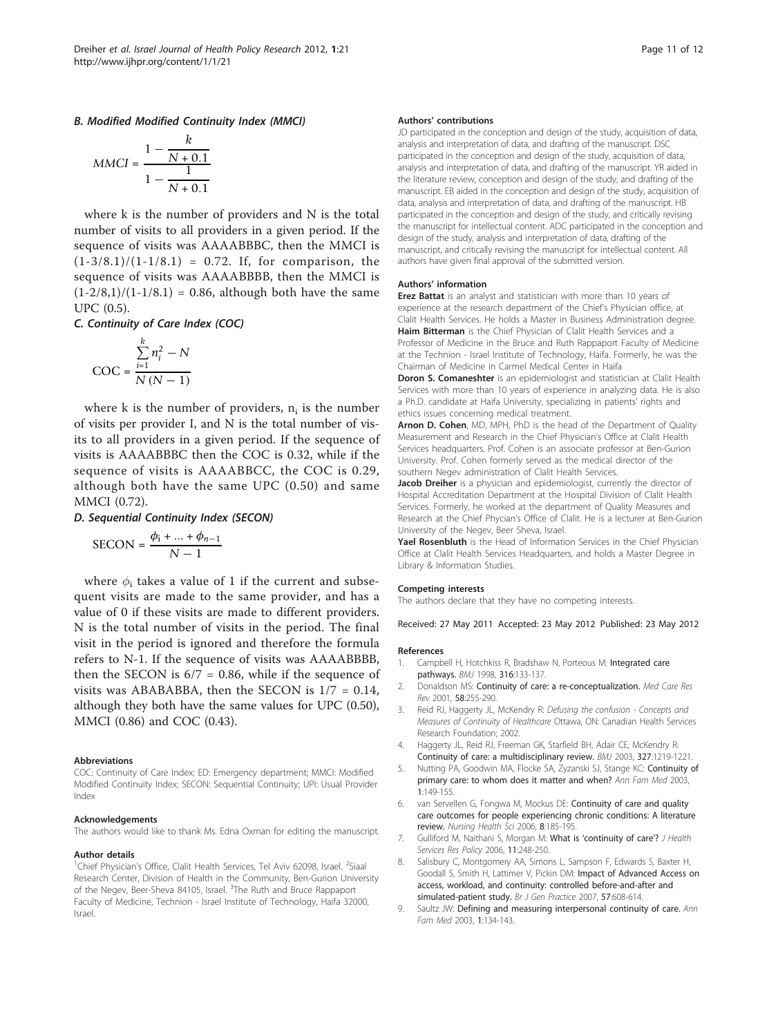<span id="page-10-0"></span>B. Modified Modified Continuity Index (MMCI)

$$
MMCI = \frac{1 - \frac{k}{N + 0.1}}{1 - \frac{1}{N + 0.1}}
$$

where k is the number of providers and N is the total number of visits to all providers in a given period. If the sequence of visits was AAAABBBC, then the MMCI is  $(1-3/8.1)/(1-1/8.1) = 0.72$ . If, for comparison, the sequence of visits was AAAABBBB, then the MMCI is  $(1-2/8,1)/(1-1/8,1) = 0.86$ , although both have the same UPC (0.5).

C. Continuity of Care Index (COC)

$$
COC = \frac{\sum_{i=1}^{k} n_i^2 - N}{N(N-1)}
$$

where k is the number of providers,  $n_i$  is the number of visits per provider I, and N is the total number of visits to all providers in a given period. If the sequence of visits is AAAABBBC then the COC is 0.32, while if the sequence of visits is AAAABBCC, the COC is 0.29, although both have the same UPC (0.50) and same MMCI (0.72).

D. Sequential Continuity Index (SECON)

$$
SECON = \frac{\phi_1 + \dots + \phi_{n-1}}{N-1}
$$

where  $\phi_i$  takes a value of 1 if the current and subsequent visits are made to the same provider, and has a value of 0 if these visits are made to different providers. N is the total number of visits in the period. The final visit in the period is ignored and therefore the formula refers to N-1. If the sequence of visits was AAAABBBB, then the SECON is  $6/7 = 0.86$ , while if the sequence of visits was ABABABBA, then the SECON is  $1/7 = 0.14$ , although they both have the same values for UPC (0.50), MMCI (0.86) and COC (0.43).

#### Abbreviations

COC: Continuity of Care Index; ED: Emergency department; MMCI: Modified Modified Continuity Index; SECON: Sequential Continuity; UPI: Usual Provider Index

#### Acknowledgements

The authors would like to thank Ms. Edna Oxman for editing the manuscript.

#### Author details

<sup>1</sup>Chief Physician's Office, Clalit Health Services, Tel Aviv 62098, Israel. <sup>2</sup>Siaal Research Center, Division of Health in the Community, Ben-Gurion University of the Negev, Beer-Sheva 84105, Israel. <sup>3</sup>The Ruth and Bruce Rappaport Faculty of Medicine, Technion - Israel Institute of Technology, Haifa 32000, Israel.

JD participated in the conception and design of the study, acquisition of data, analysis and interpretation of data, and drafting of the manuscript. DSC participated in the conception and design of the study, acquisition of data, analysis and interpretation of data, and drafting of the manuscript. YR aided in the literature review, conception and design of the study, and drafting of the manuscript. EB aided in the conception and design of the study, acquisition of data, analysis and interpretation of data, and drafting of the manuscript. HB participated in the conception and design of the study, and critically revising the manuscript for intellectual content. ADC participated in the conception and design of the study, analysis and interpretation of data, drafting of the manuscript, and critically revising the manuscript for intellectual content. All authors have given final approval of the submitted version.

#### Authors' information

Erez Battat is an analyst and statistician with more than 10 years of experience at the research department of the Chief's Physician office, at Clalit Health Services. He holds a Master in Business Administration degree. Haim Bitterman is the Chief Physician of Clalit Health Services and a Professor of Medicine in the Bruce and Ruth Rappaport Faculty of Medicine at the Technion - Israel Institute of Technology, Haifa. Formerly, he was the Chairman of Medicine in Carmel Medical Center in Haifa

Doron S. Comaneshter is an epidemiologist and statistician at Clalit Health Services with more than 10 years of experience in analyzing data. He is also a Ph.D. candidate at Haifa University, specializing in patients' rights and ethics issues concerning medical treatment.

Arnon D. Cohen, MD, MPH, PhD is the head of the Department of Quality Measurement and Research in the Chief Physician's Office at Clalit Health Services headquarters. Prof. Cohen is an associate professor at Ben-Gurion University. Prof. Cohen formerly served as the medical director of the southern Negev administration of Clalit Health Services.

Jacob Dreiher is a physician and epidemiologist, currently the director of Hospital Accreditation Department at the Hospital Division of Clalit Health Services. Formerly, he worked at the department of Quality Measures and Research at the Chief Phycian's Office of Clalit. He is a lecturer at Ben-Gurion University of the Negev, Beer Sheva, Israel.

Yael Rosenbluth is the Head of Information Services in the Chief Physician Office at Clalit Health Services Headquarters, and holds a Master Degree in Library & Information Studies.

#### Competing interests

The authors declare that they have no competing interests.

Received: 27 May 2011 Accepted: 23 May 2012 Published: 23 May 2012

#### References

- 1. Campbell H, Hotchkiss R, Bradshaw N, Porteous M: [Integrated care](http://www.ncbi.nlm.nih.gov/pubmed/9462322?dopt=Abstract) [pathways.](http://www.ncbi.nlm.nih.gov/pubmed/9462322?dopt=Abstract) BMJ 1998, 316:133-137.
- 2. Donaldson MS: [Continuity of care: a re-conceptualization.](http://www.ncbi.nlm.nih.gov/pubmed/11523291?dopt=Abstract) Med Care Res Rev 2001, 58:255-290.
- 3. Reid RJ, Haggerty JL, McKendry R: Defusing the confusion Concepts and Measures of Continuity of Healthcare Ottawa, ON: Canadian Health Services Research Foundation; 2002.
- 4. Haggerty JL, Reid RJ, Freeman GK, Starfield BH, Adair CE, McKendry R: [Continuity of care: a multidisciplinary review.](http://www.ncbi.nlm.nih.gov/pubmed/14630762?dopt=Abstract) BMJ 2003, 327:1219-1221.
- 5. Nutting PA, Goodwin MA, Flocke SA, Zyzanski SJ, Stange KC: [Continuity of](http://www.ncbi.nlm.nih.gov/pubmed/15043376?dopt=Abstract) [primary care: to whom does it matter and when?](http://www.ncbi.nlm.nih.gov/pubmed/15043376?dopt=Abstract) Ann Fam Med 2003, 1:149-155.
- 6. van Servellen G, Fongwa M, Mockus DE: Continuity of care and quality care outcomes for people experiencing chronic conditions: A literature review. Nursing Health Sci 2006, 8:185-195.
- 7. Gulliford M, Naithani S, Morgan M: What is 'continuity of care'? J Health Services Res Policy 2006, 11:248-250.
- 8. Salisbury C, Montgomery AA, Simons L, Sampson F, Edwards S, Baxter H, Goodall S, Smith H, Lattimer V, Pickin DM: Impact of Advanced Access on access, workload, and continuity: controlled before-and-after and simulated-patient study. Br J Gen Practice 2007, 57:608-614.
- Saultz JW: [Defining and measuring interpersonal continuity of care.](http://www.ncbi.nlm.nih.gov/pubmed/15043374?dopt=Abstract) Ann Fam Med 2003, 1:134-143.